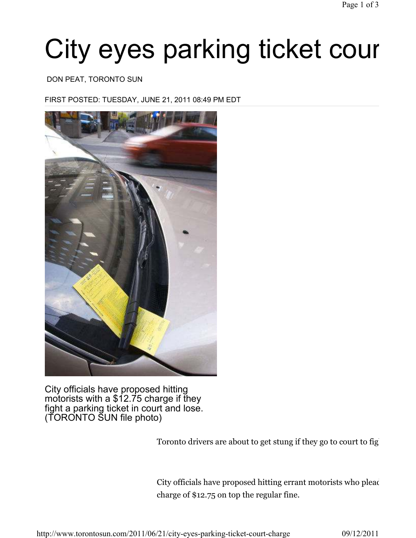# City eyes parking ticket cour

#### DON PEAT, TORONTO SUN

FIRST POSTED: TUESDAY, JUNE 21, 2011 08:49 PM EDT



City officials have proposed hitting motorists with a \$12.75 charge if they fight a parking ticket in court and lose. (TORONTO SUN file photo)

Toronto drivers are about to get stung if they go to court to fig

City officials have proposed hitting errant motorists who plead charge of \$12.75 on top the regular fine.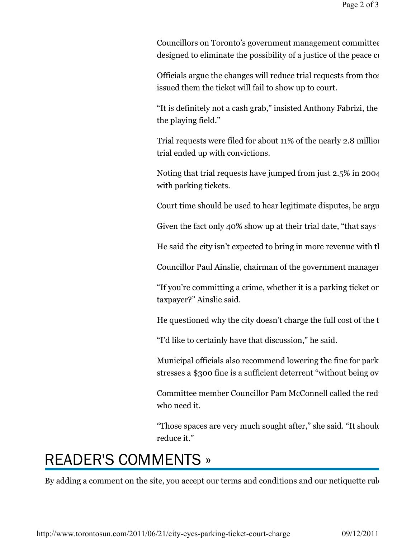Councillors on Toronto's government management committee designed to eliminate the possibility of a justice of the peace cu

Officials argue the changes will reduce trial requests from those issued them the ticket will fail to show up to court.

"It is definitely not a cash grab," insisted Anthony Fabrizi, the the playing field."

Trial requests were filed for about 11% of the nearly 2.8 million trial ended up with convictions.

Noting that trial requests have jumped from just  $2.5\%$  in 2004 with parking tickets.

Court time should be used to hear legitimate disputes, he argued.

Given the fact only 40% show up at their trial date, "that says  $\dagger$ 

He said the city isn't expected to bring in more revenue with the

Councillor Paul Ainslie, chairman of the government manager

"If you're committing a crime, whether it is a parking ticket or taxpayer?" Ainslie said.

He questioned why the city doesn't charge the full cost of the t

"I'd like to certainly have that discussion," he said.

Municipal officials also recommend lowering the fine for park stresses a \$300 fine is a sufficient deterrent "without being over

Committee member Councillor Pam McConnell called the reduction who need it.

"Those spaces are very much sought after," she said. "It should reduce it."

### READER'S COMMENTS »

By adding a comment on the site, you accept our terms and conditions and our netiquette rule